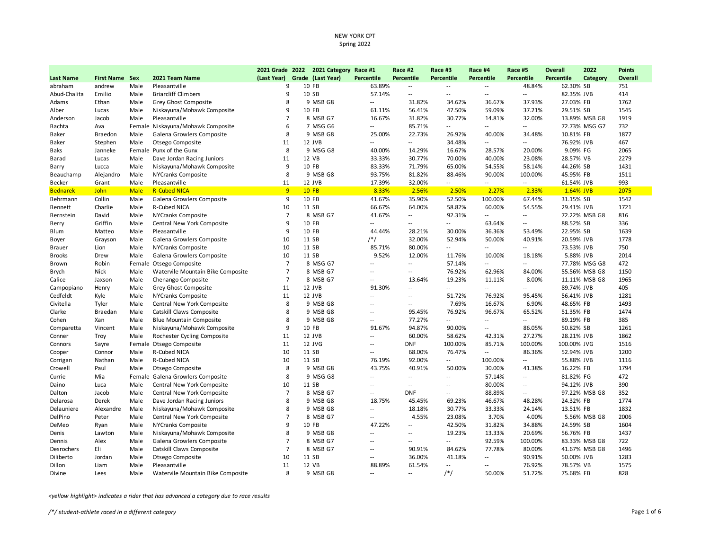|                  |                       |             |                                   | 2021 Grade 2022 | 2021 Category Race #1 |                          | Race #2                     | Race #3                  | Race #4                  | Race #5                  | <b>Overall</b>    | 2022          | <b>Points</b>  |
|------------------|-----------------------|-------------|-----------------------------------|-----------------|-----------------------|--------------------------|-----------------------------|--------------------------|--------------------------|--------------------------|-------------------|---------------|----------------|
| <b>Last Name</b> | <b>First Name Sex</b> |             | 2021 Team Name                    | (Last Year)     | Grade (Last Year)     | <b>Percentile</b>        | <b>Percentile</b>           | <b>Percentile</b>        | <b>Percentile</b>        | Percentile               | <b>Percentile</b> | Category      | <b>Overall</b> |
| abraham          | andrew                | Male        | Pleasantville                     | 9               | 10 FB                 | 63.89%                   | $\sim$ $\sim$               | $\sim$                   | $\sim$                   | 48.84%                   | 62.30% SB         |               | 751            |
| Abud-Chalita     | Emilio                | Male        | <b>Briarcliff Climbers</b>        | 9               | 10 SB                 | 57.14%                   | $\mathcal{L}_{\mathcal{F}}$ | $\sim$ $\sim$            | $\sim$ $-$               | $\overline{\phantom{a}}$ | 82.35% JVB        |               | 414            |
| Adams            | Ethan                 | Male        | Grey Ghost Composite              | 8               | 9 MSB G8              | $\ddotsc$                | 31.82%                      | 34.62%                   | 36.67%                   | 37.93%                   | 27.03% FB         |               | 1762           |
| Alber            | Lucas                 | Male        | Niskayuna/Mohawk Composite        | 9               | 10 FB                 | 61.11%                   | 56.41%                      | 47.50%                   | 59.09%                   | 37.21%                   | 29.51% SB         |               | 1545           |
| Anderson         | Jacob                 | Male        | Pleasantville                     | $\overline{7}$  | 8 MSB G7              | 16.67%                   | 31.82%                      | 30.77%                   | 14.81%                   | 32.00%                   |                   | 13.89% MSB G8 | 1919           |
| Bachta           | Ava                   |             | Female Niskayuna/Mohawk Composite | 6               | 7 MSG G6              | $\sim$ $\sim$            | 85.71%                      | $\overline{a}$           | $\sim$                   | $\overline{\phantom{a}}$ |                   | 72.73% MSG G7 | 732            |
| Baker            | Braedon               | Male        | Galena Growlers Composite         | 8               | 9 MSB G8              | 25.00%                   | 22.73%                      | 26.92%                   | 40.00%                   | 34.48%                   | 10.81% FB         |               | 1877           |
| Baker            | Stephen               | Male        | Otsego Composite                  | 11              | 12 JVB                | $\sim$ $\sim$            | $-$                         | 34.48%                   | $\sim$ $-$               | $\sim$ $\sim$            | 76.92% JVB        |               | 467            |
| Baks             | Janneke               |             | Female Punx of the Gunx           | 8               | 9 MSG G8              | 40.00%                   | 14.29%                      | 16.67%                   | 28.57%                   | 20.00%                   | 9.09% FG          |               | 2065           |
| Barad            | Lucas                 | Male        | Dave Jordan Racing Juniors        | 11              | 12 VB                 | 33.33%                   | 30.77%                      | 70.00%                   | 40.00%                   | 23.08%                   | 28.57% VB         |               | 2279           |
| Barry            | Lucca                 | Male        | Niskayuna/Mohawk Composite        | 9               | 10 FB                 | 83.33%                   | 71.79%                      | 65.00%                   | 54.55%                   | 58.14%                   | 44.26% SB         |               | 1431           |
| Beauchamp        | Alejandro             | Male        | NYCranks Composite                | 8               | 9 MSB G8              | 93.75%                   | 81.82%                      | 88.46%                   | 90.00%                   | 100.00%                  | 45.95% FB         |               | 1511           |
| Becker           | Grant                 | Male        | Pleasantville                     | 11              | 12 JVB                | 17.39%                   | 32.00%                      | $\overline{\phantom{a}}$ | $\sim$                   | $\overline{\phantom{a}}$ | 61.54% JVB        |               | 993            |
| <b>Bednarek</b>  | <b>John</b>           | <b>Male</b> | <b>R-Cubed NICA</b>               | 9               | $10$ FB               | 8.33%                    | 2.56%                       | 2.50%                    | 2.27%                    | 2.33%                    | 1.64% JVB         |               | 2075           |
| Behrmann         | Collin                | Male        | Galena Growlers Composite         | 9               | 10 FB                 | 41.67%                   | 35.90%                      | 52.50%                   | 100.00%                  | 67.44%                   | 31.15% SB         |               | 1542           |
| Bennett          | Charlie               | Male        | R-Cubed NICA                      | 10              | 11 SB                 | 66.67%                   | 64.00%                      | 58.82%                   | 60.00%                   | 54.55%                   | 29.41% JVB        |               | 1721           |
| Bernstein        | David                 | Male        | NYCranks Composite                | $\overline{7}$  | 8 MSB G7              | 41.67%                   | $\sim$                      | 92.31%                   | $-$                      | $\overline{\phantom{a}}$ |                   | 72.22% MSB G8 | 816            |
| Berry            | Griffin               | Male        | Central New York Composite        | 9               | 10 FB                 | 44                       | $\sim$                      | $\overline{\phantom{a}}$ | 63.64%                   | $\overline{\phantom{a}}$ | 88.52% SB         |               | 336            |
| Blum             | Matteo                | Male        | Pleasantville                     | 9               | 10 FB                 | 44.44%                   | 28.21%                      | 30.00%                   | 36.36%                   | 53.49%                   | 22.95% SB         |               | 1639           |
| Boyer            | Grayson               | Male        | Galena Growlers Composite         | 10              | 11 SB                 | /*/                      | 32.00%                      | 52.94%                   | 50.00%                   | 40.91%                   | 20.59% JVB        |               | 1778           |
| <b>Brauer</b>    | Lion                  | Male        | NYCranks Composite                | 10              | 11 SB                 | 85.71%                   | 80.00%                      | $\overline{\phantom{a}}$ | $\overline{a}$           | $\overline{\phantom{a}}$ | 73.53% JVB        |               | 750            |
| Brooks           | Drew                  | Male        | Galena Growlers Composite         | 10              | 11 SB                 | 9.52%                    | 12.00%                      | 11.76%                   | 10.00%                   | 18.18%                   | 5.88% JVB         |               | 2014           |
| Brown            | Robin                 |             | Female Otsego Composite           | $\overline{7}$  | 8 MSG G7              | $\sim$                   | $\sim$                      | 57.14%                   | $\overline{\phantom{a}}$ | $\overline{\phantom{a}}$ |                   | 77.78% MSG G8 | 472            |
| Brych            | Nick                  | Male        | Watervile Mountain Bike Composite | $\overline{7}$  | 8 MSB G7              | $\overline{a}$           | $\sim$                      | 76.92%                   | 62.96%                   | 84.00%                   |                   | 55.56% MSB G8 | 1150           |
| Calice           | Jaxson                | Male        | Chenango Composite                | $\overline{7}$  | 8 MSB G7              | $\sim$                   | 13.64%                      | 19.23%                   | 11.11%                   | 8.00%                    |                   | 11.11% MSB G8 | 1965           |
| Campopiano       | Henry                 | Male        | Grey Ghost Composite              | 11              | 12 JVB                | 91.30%                   | $\sim$ $\sim$               | $\overline{a}$           | $\sim$ $-$               | $\sim$ $\sim$            | 89.74% JVB        |               | 405            |
| Cedfeldt         | Kyle                  | Male        | NYCranks Composite                | 11              | 12 JVB                | $\sim$                   | $\sim$                      | 51.72%                   | 76.92%                   | 95.45%                   | 56.41% JVB        |               | 1281           |
| Civitella        | Tyler                 | Male        | Central New York Composite        | 8               | 9 MSB G8              |                          | $\sim$ $\sim$               | 7.69%                    | 16.67%                   | 6.90%                    | 48.65% FB         |               | 1493           |
| Clarke           | <b>Braedan</b>        | Male        | Catskill Claws Composite          | 8               | 9 MSB G8              | $\overline{\phantom{a}}$ | 95.45%                      | 76.92%                   | 96.67%                   | 65.52%                   | 51.35% FB         |               | 1474           |
| Cohen            | Xan                   | Male        | <b>Blue Mountain Composite</b>    | 8               | 9 MSB G8              | $\sim$                   | 77.27%                      | $\overline{a}$           | $\overline{\phantom{a}}$ | $\overline{\phantom{a}}$ | 89.19% FB         |               | 385            |
| Comparetta       | Vincent               | Male        | Niskayuna/Mohawk Composite        | 9               | 10 FB                 | 91.67%                   | 94.87%                      | 90.00%                   | $\sim$                   | 86.05%                   | 50.82% SB         |               | 1261           |
| Conner           | Troy                  | Male        | Rochester Cycling Composite       | 11              | 12 JVB                | $\sim$ $\sim$            | 60.00%                      | 58.62%                   | 42.31%                   | 27.27%                   | 28.21% JVB        |               | 1862           |
| Connors          | Sayre                 |             | Female Otsego Composite           | 11              | 12 JVG                | $\overline{\phantom{a}}$ | <b>DNF</b>                  | 100.00%                  | 85.71%                   | 100.00%                  | 100.00% JVG       |               | 1516           |
| Cooper           | Connor                | Male        | R-Cubed NICA                      | 10              | 11 SB                 | $\sim$ $\sim$            | 68.00%                      | 76.47%                   | $\sim$                   | 86.36%                   | 52.94% JVB        |               | 1200           |
| Corrigan         | Nathan                | Male        | R-Cubed NICA                      | 10              | 11 SB                 | 76.19%                   | 92.00%                      | $\overline{\phantom{a}}$ | 100.00%                  | $\overline{\phantom{a}}$ | 55.88% JVB        |               | 1116           |
| Crowell          | Paul                  | Male        | Otsego Composite                  | 8               | 9 MSB G8              | 43.75%                   | 40.91%                      | 50.00%                   | 30.00%                   | 41.38%                   | 16.22% FB         |               | 1794           |
| Currie           | Mia                   |             | Female Galena Growlers Composite  | 8               | 9 MSG G8              | $\sim$                   | $\sim$                      | $\overline{a}$           | 57.14%                   | $\sim$                   | 81.82% FG         |               | 472            |
| Daino            | Luca                  | Male        | Central New York Composite        | 10              | 11 SB                 | $\overline{\phantom{a}}$ | $\sim$ $\sim$               | $\overline{a}$           | 80.00%                   | $\sim$ $\sim$            | 94.12% JVB        |               | 390            |
| Dalton           | Jacob                 | Male        | Central New York Composite        | $\overline{7}$  | 8 MSB G7              | $\overline{\phantom{a}}$ | <b>DNF</b>                  | $\sim$                   | 88.89%                   | $\overline{\phantom{a}}$ |                   | 97.22% MSB G8 | 352            |
| Delarosa         | Derek                 | Male        | Dave Jordan Racing Juniors        | 8               | 9 MSB G8              | 18.75%                   | 45.45%                      | 69.23%                   | 46.67%                   | 48.28%                   | 24.32% FB         |               | 1774           |
| Delauniere       | Alexandre             | Male        | Niskayuna/Mohawk Composite        | 8               | 9 MSB G8              | $\overline{\phantom{a}}$ | 18.18%                      | 30.77%                   | 33.33%                   | 24.14%                   | 13.51% FB         |               | 1832           |
| DelPino          | Peter                 | Male        | Central New York Composite        | $\overline{7}$  | 8 MSB G7              | $\overline{\phantom{a}}$ | 4.55%                       | 23.08%                   | 3.70%                    | 4.00%                    |                   | 5.56% MSB G8  | 2006           |
| DeMeo            | Ryan                  | Male        | NYCranks Composite                | 9               | 10 FB                 | 47.22%                   | $\sim$ $\sim$               | 42.50%                   | 31.82%                   | 34.88%                   | 24.59% SB         |               | 1604           |
| Denis            | Lawton                | Male        | Niskayuna/Mohawk Composite        | 8               | 9 MSB G8              | $\sim$ $\sim$            | $\overline{\phantom{a}}$    | 19.23%                   | 13.33%                   | 20.69%                   | 56.76% FB         |               | 1437           |
| Dennis           | Alex                  | Male        | Galena Growlers Composite         | $\overline{7}$  | 8 MSB G7              | $\overline{\phantom{a}}$ | $\overline{a}$              | $\sim$ $\sim$            | 92.59%                   | 100.00%                  |                   | 83.33% MSB G8 | 722            |
| Desrochers       | Eli                   | Male        | Catskill Claws Composite          | $\overline{7}$  | 8 MSB G7              | $\overline{\phantom{a}}$ | 90.91%                      | 84.62%                   | 77.78%                   | 80.00%                   |                   | 41.67% MSB G8 | 1496           |
| Diliberto        | Jordan                | Male        | Otsego Composite                  | 10              | 11 SB                 | $\overline{\phantom{a}}$ | 36.00%                      | 41.18%                   | $\overline{\phantom{a}}$ | 90.91%                   | 50.00% JVB        |               | 1283           |
| Dillon           | Liam                  | Male        | Pleasantville                     | 11              | 12 VB                 | 88.89%                   | 61.54%                      | $\sim$                   | $\sim$                   | 76.92%                   | 78.57% VB         |               | 1575           |
| Divine           | Lees                  | Male        | Watervile Mountain Bike Composite | 8               | 9 MSB G8              | $\sim$ $\sim$            | $\overline{\phantom{a}}$    | $/*/$                    | 50.00%                   | 51.72%                   | 75.68% FB         |               | 828            |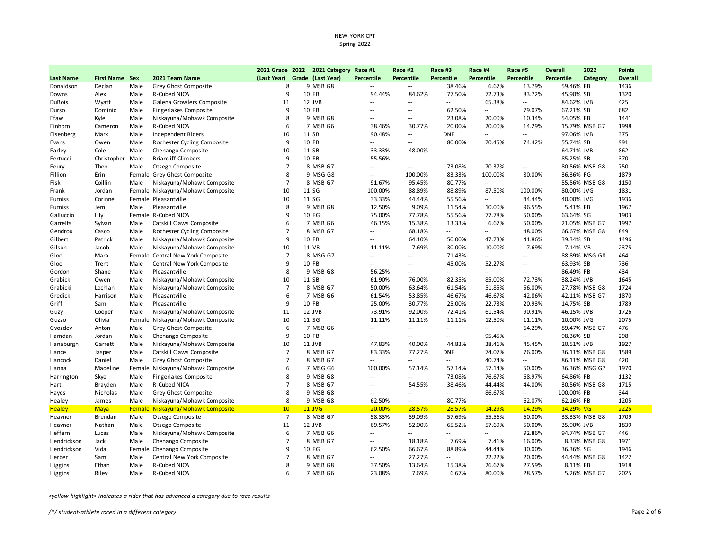|                  |                       |      |                                   |                | 2021 Grade 2022 2021 Category Race #1 |                             | Race #2                     | Race #3                  | Race #4                  | Race #5                  | <b>Overall</b> | 2022          | <b>Points</b> |
|------------------|-----------------------|------|-----------------------------------|----------------|---------------------------------------|-----------------------------|-----------------------------|--------------------------|--------------------------|--------------------------|----------------|---------------|---------------|
| <b>Last Name</b> | <b>First Name Sex</b> |      | 2021 Team Name                    | (Last Year)    | Grade (Last Year)                     | <b>Percentile</b>           | <b>Percentile</b>           | Percentile               | Percentile               | Percentile               | Percentile     | Category      | Overall       |
| Donaldson        | Declan                | Male | Grey Ghost Composite              | 8              | 9 MSB G8                              | $\sim$ $\sim$               | $\overline{\phantom{a}}$    | 38.46%                   | 6.67%                    | 13.79%                   | 59.46% FB      |               | 1436          |
| Downs            | Alex                  | Male | R-Cubed NICA                      | 9              | 10 FB                                 | 94.44%                      | 84.62%                      | 77.50%                   | 72.73%                   | 83.72%                   | 45.90% SB      |               | 1320          |
| <b>DuBois</b>    | Wyatt                 | Male | Galena Growlers Composite         | 11             | 12 JVB                                | $\overline{a}$              | $\overline{\phantom{a}}$    |                          | 65.38%                   | $\overline{\phantom{a}}$ | 84.62% JVB     |               | 425           |
| Durso            | Dominic               | Male | <b>Fingerlakes Composite</b>      | 9              | 10 FB                                 | - -                         | $\overline{\phantom{a}}$    | 62.50%                   | $\sim$                   | 79.07%                   | 67.21% SB      |               | 682           |
| Efaw             | Kyle                  | Male | Niskayuna/Mohawk Composite        | 8              | 9 MSB G8                              | $\overline{\phantom{a}}$    | $\overline{\phantom{a}}$    | 23.08%                   | 20.00%                   | 10.34%                   | 54.05% FB      |               | 1441          |
| Einhorn          | Cameron               | Male | R-Cubed NICA                      | 6              | 7 MSB G6                              | 38.46%                      | 30.77%                      | 20.00%                   | 20.00%                   | 14.29%                   |                | 15.79% MSB G7 | 1998          |
| Eisenberg        | Mark                  | Male | <b>Independent Riders</b>         | 10             | 11 SB                                 | 90.48%                      | $\sim$                      | <b>DNF</b>               | $\overline{\phantom{a}}$ | $\overline{\phantom{a}}$ | 97.06% JVB     |               | 375           |
| Evans            | Owen                  | Male | Rochester Cycling Composite       | 9              | 10 FB                                 | 44                          | $\mathcal{L}_{\mathcal{A}}$ | 80.00%                   | 70.45%                   | 74.42%                   | 55.74% SB      |               | 991           |
| Farley           | Cole                  | Male | Chenango Composite                | 10             | 11 SB                                 | 33.33%                      | 48.00%                      | $\overline{\phantom{a}}$ | $\overline{a}$           | $\overline{\phantom{a}}$ | 64.71% JVB     |               | 862           |
| Fertucci         | Christopher Male      |      | <b>Briarcliff Climbers</b>        | 9              | 10 FB                                 | 55.56%                      | $\sim$ $-$                  | $\overline{a}$           | $\sim$ $\sim$            | $\overline{\phantom{a}}$ | 85.25% SB      |               | 370           |
| Feury            | Theo                  | Male | Otsego Composite                  | $\overline{7}$ | 8 MSB G7                              | $\sim$                      | $\sim$                      | 73.08%                   | 70.37%                   | $\overline{\phantom{a}}$ |                | 80.56% MSB G8 | 750           |
| Fillion          | Erin                  |      | Female Grey Ghost Composite       | 8              | 9 MSG G8                              | $\sim$ $\sim$               | 100.00%                     | 83.33%                   | 100.00%                  | 80.00%                   | 36.36% FG      |               | 1879          |
| Fisk             | Coillin               | Male | Niskayuna/Mohawk Composite        | $\overline{7}$ | 8 MSB G7                              | 91.67%                      | 95.45%                      | 80.77%                   | $\sim$                   | $\overline{\phantom{a}}$ |                | 55.56% MSB G8 | 1150          |
| Frank            | Jordan                |      | Female Niskayuna/Mohawk Composite | 10             | 11 SG                                 | 100.00%                     | 88.89%                      | 88.89%                   | 87.50%                   | 100.00%                  | 80.00% JVG     |               | 1831          |
| Furniss          | Corinne               |      | Female Pleasantville              | 10             | 11 SG                                 | 33.33%                      | 44.44%                      | 55.56%                   | $\sim$                   | 44.44%                   | 40.00% JVG     |               | 1936          |
| Furniss          | Jem                   | Male | Pleasantville                     | 8              | 9 MSB G8                              | 12.50%                      | 9.09%                       | 11.54%                   | 10.00%                   | 96.55%                   | 5.41% FB       |               | 1967          |
| Galluccio        | Lily                  |      | Female R-Cubed NICA               | q              | 10 FG                                 | 75.00%                      | 77.78%                      | 55.56%                   | 77.78%                   | 50.00%                   | 63.64% SG      |               | 1903          |
| Garrelts         | Sylvan                | Male | Catskill Claws Composite          | 6              | 7 MSB G6                              | 46.15%                      | 15.38%                      | 13.33%                   | 6.67%                    | 50.00%                   |                | 21.05% MSB G7 | 1997          |
| Gendrou          | Casco                 | Male | Rochester Cycling Composite       | $\overline{7}$ | 8 MSB G7                              | $\overline{\phantom{a}}$    | 68.18%                      | $\overline{\phantom{a}}$ | $\sim$                   | 48.00%                   |                | 66.67% MSB G8 | 849           |
| Gilbert          | Patrick               | Male | Niskayuna/Mohawk Composite        | 9              | 10 FB                                 | $\overline{\phantom{a}}$    | 64.10%                      | 50.00%                   | 47.73%                   | 41.86%                   | 39.34% SB      |               | 1496          |
| Gilson           | Jacob                 | Male | Niskayuna/Mohawk Composite        | 10             | 11 VB                                 | 11.11%                      | 7.69%                       | 30.00%                   | 10.00%                   | 7.69%                    | 7.14% VB       |               | 2375          |
| Gloo             | Mara                  |      | Female Central New York Composite | $\overline{7}$ | 8 MSG G7                              | $\overline{\phantom{a}}$    | $\mathcal{L}_{\mathcal{F}}$ | 71.43%                   | $\overline{\phantom{a}}$ | $\overline{\phantom{a}}$ |                | 88.89% MSG G8 | 464           |
| Gloo             | Trent                 | Male | Central New York Composite        | 9              | 10 FB                                 | $\sim$                      | $\sim$ $-$                  | 45.00%                   | 52.27%                   | $\overline{\phantom{a}}$ | 63.93% SB      |               | 736           |
| Gordon           | Shane                 | Male | Pleasantville                     | 8              | 9 MSB G8                              | 56.25%                      | $\sim$                      | $\overline{\phantom{a}}$ | $\overline{\phantom{a}}$ | $\overline{\phantom{a}}$ | 86.49% FB      |               | 434           |
| Grabick          | Owen                  | Male | Niskayuna/Mohawk Composite        | 10             | 11 SB                                 | 61.90%                      | 76.00%                      | 82.35%                   | 85.00%                   | 72.73%                   | 38.24% JVB     |               | 1645          |
| Grabicki         | Lochlan               | Male | Niskayuna/Mohawk Composite        | $\overline{7}$ | 8 MSB G7                              | 50.00%                      | 63.64%                      | 61.54%                   | 51.85%                   | 56.00%                   |                | 27.78% MSB G8 | 1724          |
| Gredick          | Harrison              | Male | Pleasantville                     | 6              | 7 MSB G6                              | 61.54%                      | 53.85%                      | 46.67%                   | 46.67%                   | 42.86%                   |                | 42.11% MSB G7 | 1870          |
| Griff            | Sam                   | Male | Pleasantville                     | 9              | 10 FB                                 | 25.00%                      | 30.77%                      | 25.00%                   | 22.73%                   | 20.93%                   | 14.75% SB      |               | 1789          |
| Guzy             | Cooper                | Male | Niskayuna/Mohawk Composite        | 11             | 12 JVB                                | 73.91%                      | 92.00%                      | 72.41%                   | 61.54%                   | 90.91%                   | 46.15% JVB     |               | 1726          |
| Guzzo            | Olivia                |      | Female Niskayuna/Mohawk Composite | 10             | 11 SG                                 | 11.11%                      | 11.11%                      | 11.11%                   | 12.50%                   | 11.11%                   | 10.00% JVG     |               | 2075          |
| Gvozdev          | Anton                 | Male | Grey Ghost Composite              | 6              | 7 MSB G6                              | $\sim$ $\sim$               | $\sim$                      | $\overline{a}$           | $\overline{\phantom{a}}$ | 64.29%                   |                | 89.47% MSB G7 | 476           |
| Hamdan           | Jordan                | Male | Chenango Composite                | 9              | 10 FB                                 | $\sim$                      | $\sim$                      | $\overline{\phantom{a}}$ | 95.45%                   | $\overline{\phantom{a}}$ | 98.36% SB      |               | 298           |
| Hanaburgh        | Garrett               | Male | Niskayuna/Mohawk Composite        | 10             | 11 JVB                                | 47.83%                      | 40.00%                      | 44.83%                   | 38.46%                   | 45.45%                   | 20.51% JVB     |               | 1927          |
| Hance            | Jasper                | Male | Catskill Claws Composite          | $\overline{7}$ | 8 MSB G7                              | 83.33%                      | 77.27%                      | <b>DNF</b>               | 74.07%                   | 76.00%                   |                | 36.11% MSB G8 | 1589          |
| Hancock          | Daniel                | Male | Grey Ghost Composite              | $\overline{7}$ | 8 MSB G7                              | $\sim$                      | $\overline{\phantom{a}}$    | $\overline{\phantom{a}}$ | 40.74%                   | $\overline{\phantom{a}}$ |                | 86.11% MSB G8 | 420           |
| Hanna            | Madeline              |      | Female Niskayuna/Mohawk Composite | 6              | 7 MSG G6                              | 100.00%                     | 57.14%                      | 57.14%                   | 57.14%                   | 50.00%                   |                | 36.36% MSG G7 | 1970          |
| Harrington       | Skye                  | Male | <b>Fingerlakes Composite</b>      | 8              | 9 MSB G8                              | $\sim$ $\sim$               | $\overline{\phantom{a}}$    | 73.08%                   | 76.67%                   | 68.97%                   | 64.86% FB      |               | 1132          |
| Hart             | Brayden               | Male | R-Cubed NICA                      | $\overline{7}$ | 8 MSB G7                              | $\sim$ $\sim$               | 54.55%                      | 38.46%                   | 44.44%                   | 44.00%                   |                | 30.56% MSB G8 | 1715          |
| Hayes            | Nicholas              | Male | Grey Ghost Composite              | 8              | 9 MSB G8                              | $\sim$ $\sim$               | $\overline{a}$              | $\overline{\phantom{a}}$ | 86.67%                   | $\overline{\phantom{a}}$ | 100.00% FB     |               | 344           |
| Healey           | James                 | Male | Niskayuna/Mohawk Composite        | 8              | 9 MSB G8                              | 62.50%                      | $\sim$                      | 80.77%                   | $\sim$                   | 62.07%                   | 62.16% FB      |               | 1205          |
| <b>Healey</b>    | <b>Maya</b>           |      | Female Niskayuna/Mohawk Composite | 10             | <b>11 JVG</b>                         | 20.00%                      | 28.57%                      | 28.57%                   | 14.29%                   | 14.29%                   | 14.29% VG      |               | 2225          |
| Heavner          | Brendan               | Male | Otsego Composite                  | $\overline{7}$ | 8 MSB G7                              | 58.33%                      | 59.09%                      | 57.69%                   | 55.56%                   | 60.00%                   |                | 33.33% MSB G8 | 1709          |
| Heavner          | Nathan                | Male | Otsego Composite                  | 11             | 12 JVB                                | 69.57%                      | 52.00%                      | 65.52%                   | 57.69%                   | 50.00%                   | 35.90% JVB     |               | 1839          |
| Heffern          | Lucas                 | Male | Niskayuna/Mohawk Composite        | 6              | 7 MSB G6                              | $\mathcal{L}_{\mathcal{A}}$ | $\sim$                      | $\overline{\phantom{a}}$ | $\overline{\phantom{a}}$ | 92.86%                   |                | 94.74% MSB G7 | 446           |
| Hendrickson      | Jack                  | Male | Chenango Composite                | $\overline{7}$ | 8 MSB G7                              | $\sim$                      | 18.18%                      | 7.69%                    | 7.41%                    | 16.00%                   |                | 8.33% MSB G8  | 1971          |
| Hendrickson      | Vida                  |      | Female Chenango Composite         | 9              | 10 FG                                 | 62.50%                      | 66.67%                      | 88.89%                   | 44.44%                   | 30.00%                   | 36.36% SG      |               | 1946          |
| Herber           | Sam                   | Male | Central New York Composite        | $\overline{7}$ | 8 MSB G7                              | $\sim$ $\sim$               | 27.27%                      | $\sim$ $\sim$            | 22.22%                   | 20.00%                   |                | 44.44% MSB G8 | 1422          |
| Higgins          | Ethan                 | Male | R-Cubed NICA                      | 8              | 9 MSB G8                              | 37.50%                      | 13.64%                      | 15.38%                   | 26.67%                   | 27.59%                   | 8.11% FB       |               | 1918          |
| Higgins          | Riley                 | Male | R-Cubed NICA                      | 6              | 7 MSB G6                              | 23.08%                      | 7.69%                       | 6.67%                    | 80.00%                   | 28.57%                   |                | 5.26% MSB G7  | 2025          |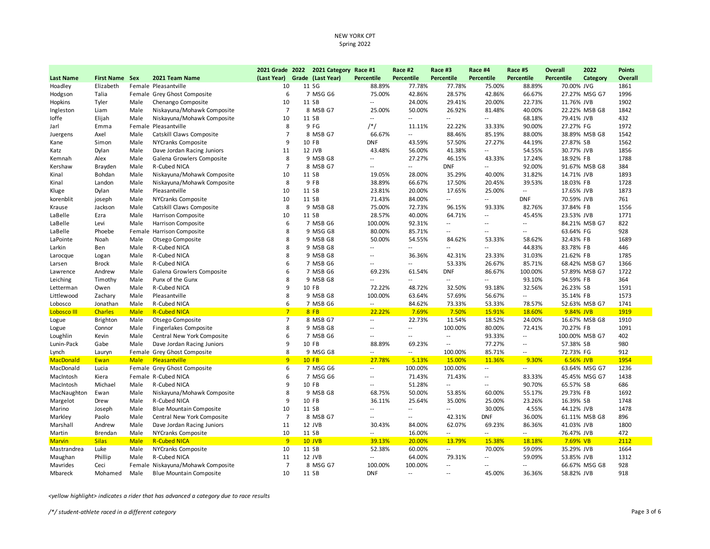|                  |                       |             |                                   |                | 2021 Grade 2022 2021 Category Race #1 |                          | Race #2                     | Race #3                  | Race #4                  | Race #5                    | <b>Overall</b> | 2022           | <b>Points</b> |
|------------------|-----------------------|-------------|-----------------------------------|----------------|---------------------------------------|--------------------------|-----------------------------|--------------------------|--------------------------|----------------------------|----------------|----------------|---------------|
| <b>Last Name</b> | <b>First Name Sex</b> |             | 2021 Team Name                    | (Last Year)    | Grade (Last Year)                     | <b>Percentile</b>        | Percentile                  | Percentile               | Percentile               | Percentile                 | Percentile     | Category       | Overall       |
| Hoadley          | Elizabeth             |             | Female Pleasantville              | 10             | 11 SG                                 | 88.89%                   | 77.78%                      | 77.78%                   | 75.00%                   | 88.89%                     | 70.00% JVG     |                | 1861          |
| Hodgson          | Talia                 |             | Female Grey Ghost Composite       | 6              | 7 MSG G6                              | 75.00%                   | 42.86%                      | 28.57%                   | 42.86%                   | 66.67%                     |                | 27.27% MSG G7  | 1996          |
| Hopkins          | Tyler                 | Male        | Chenango Composite                | 10             | 11 SB                                 | $\overline{\phantom{a}}$ | 24.00%                      | 29.41%                   | 20.00%                   | 22.73%                     | 11.76% JVB     |                | 1902          |
| Ingleston        | Liam                  | Male        | Niskayuna/Mohawk Composite        | $\overline{7}$ | 8 MSB G7                              | 25.00%                   | 50.00%                      | 26.92%                   | 81.48%                   | 40.00%                     |                | 22.22% MSB G8  | 1842          |
| loffe            | Elijah                | Male        | Niskayuna/Mohawk Composite        | 10             | 11 SB                                 | $\sim$                   | $\overline{a}$              | $\overline{\phantom{a}}$ | $\sim$                   | 68.18%                     | 79.41% JVB     |                | 432           |
| Jarl             | Emma                  |             | Female Pleasantville              | 8              | 9 FG                                  | $/*/$                    | 11.11%                      | 22.22%                   | 33.33%                   | 90.00%                     | 27.27% FG      |                | 1972          |
| Juergens         | Axel                  | Male        | Catskill Claws Composite          | $\overline{7}$ | 8 MSB G7                              | 66.67%                   | $\sim$                      | 88.46%                   | 85.19%                   | 88.00%                     |                | 38.89% MSB G8  | 1542          |
| Kane             | Simon                 | Male        | NYCranks Composite                | 9              | 10 FB                                 | <b>DNF</b>               | 43.59%                      | 57.50%                   | 27.27%                   | 44.19%                     | 27.87% SB      |                | 1562          |
| Katz             | Dylan                 | Male        | Dave Jordan Racing Juniors        | 11             | 12 JVB                                | 43.48%                   | 56.00%                      | 41.38%                   | $\overline{\phantom{a}}$ | 54.55%                     | 30.77% JVB     |                | 1856          |
| Kemnah           | Alex                  | Male        | Galena Growlers Composite         | 8              | 9 MSB G8                              | $\sim$                   | 27.27%                      | 46.15%                   | 43.33%                   | 17.24%                     | 18.92% FB      |                | 1788          |
| Kershaw          | Brayden               | Male        | <b>R-Cubed NICA</b>               | $\overline{7}$ | 8 MSB G7                              | $\sim$                   | $\overline{\phantom{a}}$    | <b>DNF</b>               | $\overline{\phantom{a}}$ | 92.00%                     |                | 91.67% MSB G8  | 384           |
| Kinal            | Bohdan                | Male        | Niskayuna/Mohawk Composite        | 10             | 11 SB                                 | 19.05%                   | 28.00%                      | 35.29%                   | 40.00%                   | 31.82%                     | 14.71% JVB     |                | 1893          |
| Kinal            | Landon                | Male        | Niskayuna/Mohawk Composite        | 8              | 9 FB                                  | 38.89%                   | 66.67%                      | 17.50%                   | 20.45%                   | 39.53%                     | 18.03% FB      |                | 1728          |
| Kluge            | Dylan                 | Male        | Pleasantville                     | 10             | 11 SB                                 | 23.81%                   | 20.00%                      | 17.65%                   | 25.00%                   | $\overline{\phantom{a}}$   | 17.65% JVB     |                | 1873          |
| korenblit        | joseph                | Male        | NYCranks Composite                | 10             | 11 SB                                 | 71.43%                   | 84.00%                      | $\overline{\phantom{a}}$ | $\overline{\phantom{a}}$ | <b>DNF</b>                 | 70.59% JVB     |                | 761           |
| Krause           | Jackson               | Male        | Catskill Claws Composite          | 8              | 9 MSB G8                              | 75.00%                   | 72.73%                      | 96.15%                   | 93.33%                   | 82.76%                     | 37.84% FB      |                | 1556          |
| LaBelle          | Ezra                  | Male        | <b>Harrison Composite</b>         | 10             | 11 SB                                 | 28.57%                   | 40.00%                      | 64.71%                   | $\overline{\phantom{a}}$ | 45.45%                     | 23.53% JVB     |                | 1771          |
| LaBelle          | Levi                  | Male        | Harrison Composite                | 6              | 7 MSB G6                              | 100.00%                  | 92.31%                      | $\overline{\phantom{a}}$ | $\sim$ $\sim$            | $\overline{\phantom{a}}$   |                | 84.21% MSB G7  | 822           |
| LaBelle          | Phoebe                |             | Female Harrison Composite         | 8              | 9 MSG G8                              | 80.00%                   | 85.71%                      | $\overline{\phantom{a}}$ | $\sim$ $-$               | $\overline{\phantom{a}}$ . | 63.64% FG      |                | 928           |
| LaPointe         | Noah                  | Male        | Otsego Composite                  | 8              | 9 MSB G8                              | 50.00%                   | 54.55%                      | 84.62%                   | 53.33%                   | 58.62%                     | 32.43% FB      |                | 1689          |
| Larkin           | Ben                   | Male        | <b>R-Cubed NICA</b>               | 8              | 9 MSB G8                              | $\sim$                   | $-$                         | $\sim$                   | $\overline{a}$           | 44.83%                     | 83.78% FB      |                | 446           |
| Larocque         | Logan                 | Male        | R-Cubed NICA                      | 8              | 9 MSB G8                              | $\sim$                   | 36.36%                      | 42.31%                   | 23.33%                   | 31.03%                     | 21.62% FB      |                | 1785          |
| Larsen           | <b>Brock</b>          | Male        | R-Cubed NICA                      | 6              | 7 MSB G6                              | $\sim$                   | $\mathcal{L}_{\mathcal{A}}$ | 53.33%                   | 26.67%                   | 85.71%                     |                | 68.42% MSB G7  | 1366          |
| Lawrence         | Andrew                | Male        | Galena Growlers Composite         | 6              | 7 MSB G6                              | 69.23%                   | 61.54%                      | <b>DNF</b>               | 86.67%                   | 100.00%                    |                | 57.89% MSB G7  | 1722          |
| Leiching         | Timothy               | Male        | Punx of the Gunx                  | 8              | 9 MSB G8                              | $\sim$                   | $\sim$ $-$                  | $\overline{\phantom{a}}$ | $\sim$ $\sim$            | 93.10%                     | 94.59% FB      |                | 364           |
| Letterman        | Owen                  | Male        | R-Cubed NICA                      | 9              | 10 FB                                 | 72.22%                   | 48.72%                      | 32.50%                   | 93.18%                   | 32.56%                     | 26.23% SB      |                | 1591          |
| Littlewood       | Zachary               | Male        | Pleasantville                     | 8              | 9 MSB G8                              | 100.00%                  | 63.64%                      | 57.69%                   | 56.67%                   | $\sim$                     | 35.14% FB      |                | 1573          |
| Lobosco          | Jonathan              | Male        | R-Cubed NICA                      | 6              | 7 MSB G6                              | $\sim$                   | 84.62%                      | 73.33%                   | 53.33%                   | 78.57%                     |                | 52.63% MSB G7  | 1741          |
| Lobosco III      | <b>Charles</b>        | <b>Male</b> | <b>R-Cubed NICA</b>               | 7              | 8FB                                   | 22.22%                   | 7.69%                       | 7.50%                    | 15.91%                   | 18.60%                     | 9.84% JVB      |                | 1919          |
| Logue            | <b>Brighton</b>       | Male        | Otsego Composite                  | $\overline{7}$ | 8 MSB G7                              | $\sim$                   | 22.73%                      | 11.54%                   | 18.52%                   | 24.00%                     |                | 16.67% MSB G8  | 1910          |
| Logue            | Connor                | Male        | <b>Fingerlakes Composite</b>      | 8              | 9 MSB G8                              | $\sim$                   | $\overline{\phantom{a}}$    | 100.00%                  | 80.00%                   | 72.41%                     | 70.27% FB      |                | 1091          |
| Loughlin         | Kevin                 | Male        | Central New York Composite        | 6              | 7 MSB G6                              | $\sim$                   | $\sim$ $-$                  | $\overline{\phantom{a}}$ | 93.33%                   | $\overline{\phantom{a}}$   |                | 100.00% MSB G7 | 402           |
| Lunin-Pack       | Gabe                  | Male        | Dave Jordan Racing Juniors        | 9              | 10 FB                                 | 88.89%                   | 69.23%                      | $\overline{\phantom{a}}$ | 77.27%                   | $\overline{\phantom{a}}$   | 57.38% SB      |                | 980           |
| Lynch            | Lauryn                |             | Female Grey Ghost Composite       | 8              | 9 MSG G8                              | $\sim$                   | $\overline{a}$              | 100.00%                  | 85.71%                   | $\overline{\phantom{a}}$   | 72.73% FG      |                | 912           |
| <b>MacDonald</b> | Ewan                  | <b>Male</b> | Pleasantville                     | 9              | $10$ FB                               | 27.78%                   | 5.13%                       | 15.00%                   | 11.36%                   | 9.30%                      | 6.56% JVB      |                | 1954          |
| MacDonald        | Lucia                 |             | Female Grey Ghost Composite       | 6              | 7 MSG G6                              | $\sim$                   | 100.00%                     | 100.00%                  | $\sim$                   | $\overline{a}$             |                | 63.64% MSG G7  | 1236          |
| MacIntosh        | Kiera                 |             | Female R-Cubed NICA               | 6              | 7 MSG G6                              | $\overline{\phantom{a}}$ | 71.43%                      | 71.43%                   | $\sim$ $-$               | 83.33%                     |                | 45.45% MSG G7  | 1438          |
| MacIntosh        | Michael               | Male        | R-Cubed NICA                      | 9              | 10 FB                                 | $\sim$                   | 51.28%                      | $\sim$ $\sim$            | $\sim$ $-$               | 90.70%                     | 65.57% SB      |                | 686           |
| MacNaughton      | Ewan                  | Male        | Niskayuna/Mohawk Composite        | 8              | 9 MSB G8                              | 68.75%                   | 50.00%                      | 53.85%                   | 60.00%                   | 55.17%                     | 29.73% FB      |                | 1692          |
| Margelot         | Drew                  | Male        | R-Cubed NICA                      | 9              | 10 FB                                 | 36.11%                   | 25.64%                      | 35.00%                   | 25.00%                   | 23.26%                     | 16.39% SB      |                | 1748          |
| Marino           | Joseph                | Male        | <b>Blue Mountain Composite</b>    | 10             | 11 SB                                 | $\sim$                   | $\sim$                      | $\overline{\phantom{a}}$ | 30.00%                   | 4.55%                      | 44.12% JVB     |                | 1478          |
| Markley          | Paolo                 | Male        | Central New York Composite        | $\overline{7}$ | 8 MSB G7                              | $\overline{\phantom{a}}$ | $\overline{\phantom{a}}$    | 42.31%                   | <b>DNF</b>               | 36.00%                     |                | 61.11% MSB G8  | 896           |
| Marshall         | Andrew                | Male        | Dave Jordan Racing Juniors        | 11             | 12 JVB                                | 30.43%                   | 84.00%                      | 62.07%                   | 69.23%                   | 86.36%                     | 41.03% JVB     |                | 1800          |
| Martin           | Brendan               | Male        | NYCranks Composite                | 10             | 11 SB                                 | $\sim$ $\sim$            | 16.00%                      | $\overline{\phantom{a}}$ | $\sim$                   | $\overline{\phantom{a}}$   | 76.47% JVB     |                | 472           |
| <b>Marvin</b>    | <b>Silas</b>          | <b>Male</b> | <b>R-Cubed NICA</b>               | 9              | 10 JVB                                | 39.13%                   | 20.00%                      | 13.79%                   | 15.38%                   | 18.18%                     | 7.69% VB       |                | 2112          |
| Mastrandrea      | Luke                  | Male        | NYCranks Composite                | 10             | 11 SB                                 | 52.38%                   | 60.00%                      | $\overline{\phantom{a}}$ | 70.00%                   | 59.09%                     | 35.29% JVB     |                | 1664          |
| Maughan          | Phillip               | Male        | R-Cubed NICA                      | 11             | 12 JVB                                | $\sim$                   | 64.00%                      | 79.31%                   | $\overline{\phantom{a}}$ | 59.09%                     | 53.85% JVB     |                | 1312          |
| Mavrides         | Ceci                  |             | Female Niskayuna/Mohawk Composite | $\overline{7}$ | 8 MSG G7                              | 100.00%                  | 100.00%                     | $\overline{\phantom{a}}$ | $\overline{a}$           | $\overline{\phantom{a}}$   |                | 66.67% MSG G8  | 928           |
| Mbareck          | Mohamed               | Male        | <b>Blue Mountain Composite</b>    | 10             | 11 SB                                 | <b>DNF</b>               | $\sim$                      | $\sim$                   | 45.00%                   | 36.36%                     | 58.82% JVB     |                | 918           |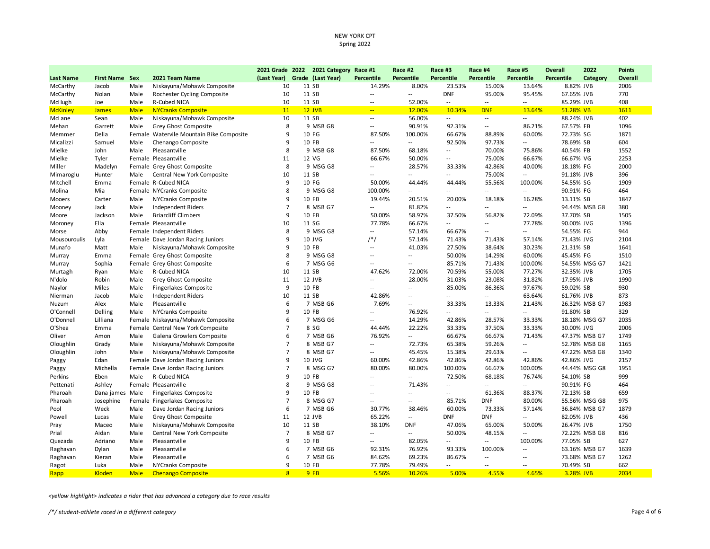|                  |                       |             |                                          | 2021 Grade 2022 | 2021 Category Race #1 |                            | Race #2                     | Race #3                     | Race #4                     | Race #5                     | <b>Overall</b>    | 2022          | <b>Points</b> |
|------------------|-----------------------|-------------|------------------------------------------|-----------------|-----------------------|----------------------------|-----------------------------|-----------------------------|-----------------------------|-----------------------------|-------------------|---------------|---------------|
| <b>Last Name</b> | <b>First Name Sex</b> |             | 2021 Team Name                           | (Last Year)     | Grade (Last Year)     | <b>Percentile</b>          | <b>Percentile</b>           | <b>Percentile</b>           | <b>Percentile</b>           | Percentile                  | <b>Percentile</b> | Category      | Overall       |
| McCarthy         | Jacob                 | Male        | Niskayuna/Mohawk Composite               | 10              | 11 SB                 | 14.29%                     | 8.00%                       | 23.53%                      | 15.00%                      | 13.64%                      | 8.82% JVB         |               | 2006          |
| McCarthy         | Nolan                 | Male        | Rochester Cycling Composite              | 10              | 11 SB                 | $\sim$                     | $\mathcal{L}_{\mathcal{A}}$ | <b>DNF</b>                  | 95.00%                      | 95.45%                      | 67.65% JVB        |               | 770           |
| McHugh           | Joe                   | Male        | R-Cubed NICA                             | 10              | 11 SB                 | $\sim$                     | 52.00%                      | $\overline{\phantom{a}}$    | $\sim$                      | $\overline{\phantom{a}}$    | 85.29% JVB        |               | 408           |
| <b>McKinley</b>  | <b>James</b>          | <b>Male</b> | <b>NYCranks Composite</b>                | 11              | $12$ JVB              | $\sim$                     | 12.00%                      | 10.34%                      | <b>DNF</b>                  | 13.64%                      | 51.28% VB         |               | 1611          |
| McLane           | Sean                  | Male        | Niskayuna/Mohawk Composite               | 10              | 11 SB                 | $\sim$                     | 56.00%                      | $\overline{\phantom{a}}$    | $\sim$                      | $\overline{\phantom{a}}$    | 88.24% JVB        |               | 402           |
| Mehan            | Garrett               | Male        | Grey Ghost Composite                     | 8               | 9 MSB G8              | $\sim$                     | 90.91%                      | 92.31%                      | $\mathcal{L}_{\mathcal{A}}$ | 86.21%                      | 67.57% FB         |               | 1096          |
| Memmer           | Delia                 |             | Female Watervile Mountain Bike Composite | 9               | 10 FG                 | 87.50%                     | 100.00%                     | 66.67%                      | 88.89%                      | 60.00%                      | 72.73% SG         |               | 1871          |
| Micalizzi        | Samuel                | Male        | Chenango Composite                       | 9               | 10 FB                 | $\sim$ $\sim$              | $\sim$ $\sim$               | 92.50%                      | 97.73%                      | $\overline{\phantom{a}}$    | 78.69% SB         |               | 604           |
| Mielke           | John                  | Male        | Pleasantville                            | 8               | 9 MSB G8              | 87.50%                     | 68.18%                      | $\mathcal{L}_{\mathcal{A}}$ | 70.00%                      | 75.86%                      | 40.54% FB         |               | 1552          |
| Mielke           | Tyler                 |             | Female Pleasantville                     | 11              | 12 VG                 | 66.67%                     | 50.00%                      | $\overline{\phantom{a}}$    | 75.00%                      | 66.67%                      | 66.67% VG         |               | 2253          |
| Miller           | Madelyn               |             | Female Grey Ghost Composite              | 8               | 9 MSG G8              | $\overline{\phantom{a}}$   | 28.57%                      | 33.33%                      | 42.86%                      | 40.00%                      | 18.18% FG         |               | 2000          |
| Mimaroglu        | Hunter                | Male        | Central New York Composite               | 10              | 11 SB                 | $\sim$                     | $\overline{\phantom{a}}$    | $\overline{\phantom{a}}$    | 75.00%                      | $\overline{a}$              | 91.18% JVB        |               | 396           |
| Mitchell         | Emma                  |             | Female R-Cubed NICA                      | 9               | 10 FG                 | 50.00%                     | 44.44%                      | 44.44%                      | 55.56%                      | 100.00%                     | 54.55% SG         |               | 1909          |
| Molina           | Mia                   |             | Female NYCranks Composite                | 8               | 9 MSG G8              | 100.00%                    | $\sim$                      | $\overline{\phantom{a}}$    | $\sim$                      | $\overline{a}$              | 90.91% FG         |               | 464           |
| Mooers           | Carter                | Male        | NYCranks Composite                       | 9               | 10 FB                 | 19.44%                     | 20.51%                      | 20.00%                      | 18.18%                      | 16.28%                      | 13.11% SB         |               | 1847          |
| Mooney           | Jack                  | Male        | Independent Riders                       | $\overline{7}$  | 8 MSB G7              | $\sim$                     | 81.82%                      | $\overline{\phantom{a}}$    | $\overline{\phantom{a}}$    | $\overline{\phantom{a}}$    |                   | 94.44% MSB G8 | 380           |
| Moore            | Jackson               | Male        | <b>Briarcliff Climbers</b>               | 9               | 10 FB                 | 50.00%                     | 58.97%                      | 37.50%                      | 56.82%                      | 72.09%                      | 37.70% SB         |               | 1505          |
| Moroney          | Ella                  |             | Female Pleasantville                     | 10              | 11 SG                 | 77.78%                     | 66.67%                      | $\overline{\phantom{a}}$    | $\overline{\phantom{a}}$    | 77.78%                      | 90.00% JVG        |               | 1396          |
| Morse            | Abby                  |             | Female Independent Riders                | 8               | 9 MSG G8              | $\sim$                     | 57.14%                      | 66.67%                      | $\sim$                      | $\overline{\phantom{a}}$    | 54.55% FG         |               | 944           |
| Mousouroulis     | Lyla                  |             | Female Dave Jordan Racing Juniors        | 9               | 10 JVG                | $/*/$                      | 57.14%                      | 71.43%                      | 71.43%                      | 57.14%                      | 71.43% JVG        |               | 2104          |
| Munafo           | Matt                  | Male        | Niskayuna/Mohawk Composite               | 9               | 10 FB                 | $\sim$ $\sim$              | 41.03%                      | 27.50%                      | 38.64%                      | 30.23%                      | 21.31% SB         |               | 1641          |
| Murray           | Emma                  |             | Female Grey Ghost Composite              | 8               | 9 MSG G8              | $\sim$                     | $\sim$                      | 50.00%                      | 14.29%                      | 60.00%                      | 45.45% FG         |               | 1510          |
| Murray           | Sophia                |             | Female Grey Ghost Composite              | 6               | 7 MSG G6              | $\sim$                     | $\sim$ $\sim$               | 85.71%                      | 71.43%                      | 100.00%                     |                   | 54.55% MSG G7 | 1421          |
| Murtagh          | Ryan                  | Male        | R-Cubed NICA                             | 10              | 11 SB                 | 47.62%                     | 72.00%                      | 70.59%                      | 55.00%                      | 77.27%                      | 32.35% JVB        |               | 1705          |
| N'dolo           | Robin                 | Male        | Grey Ghost Composite                     | 11              | 12 JVB                | $\overline{\phantom{a}}$ . | 28.00%                      | 31.03%                      | 23.08%                      | 31.82%                      | 17.95% JVB        |               | 1990          |
| Naylor           | Miles                 | Male        | Fingerlakes Composite                    | 9               | 10 FB                 | $\sim$                     | $\overline{a}$              | 85.00%                      | 86.36%                      | 97.67%                      | 59.02% SB         |               | 930           |
| Nierman          | Jacob                 | Male        | Independent Riders                       | 10              | 11 SB                 | 42.86%                     | $\overline{\phantom{a}}$    | $\overline{a}$              | $\sim$                      | 63.64%                      | 61.76% JVB        |               | 873           |
| Nuzum            | Alex                  | Male        | Pleasantville                            | 6               | 7 MSB G6              | 7.69%                      | $\overline{a}$              | 33.33%                      | 13.33%                      | 21.43%                      |                   | 26.32% MSB G7 | 1983          |
| O'Connell        | Delling               | Male        | NYCranks Composite                       | 9               | 10 FB                 | $\sim$                     | 76.92%                      | $\overline{\phantom{a}}$    | $\overline{\phantom{a}}$    | $\overline{\phantom{a}}$    | 91.80% SB         |               | 329           |
| O'Donnell        | Lilliana              |             | Female Niskayuna/Mohawk Composite        | 6               | 7 MSG G6              | $\sim$                     | 14.29%                      | 42.86%                      | 28.57%                      | 33.33%                      |                   | 18.18% MSG G7 | 2035          |
| O'Shea           | Emma                  |             | Female Central New York Composite        | $\overline{7}$  | 8 SG                  | 44.44%                     | 22.22%                      | 33.33%                      | 37.50%                      | 33.33%                      | 30.00% JVG        |               | 2006          |
| Oliver           | Amon                  | Male        | Galena Growlers Composite                | 6               | 7 MSB G6              | 76.92%                     | $\sim$                      | 66.67%                      | 66.67%                      | 71.43%                      |                   | 47.37% MSB G7 | 1749          |
| Oloughlin        | Grady                 | Male        | Niskayuna/Mohawk Composite               | $\overline{7}$  | 8 MSB G7              | $\overline{\phantom{a}}$   | 72.73%                      | 65.38%                      | 59.26%                      | $\sim$                      |                   | 52.78% MSB G8 | 1165          |
| Oloughlin        | John                  | Male        | Niskayuna/Mohawk Composite               | $\overline{7}$  | 8 MSB G7              | $\overline{\phantom{a}}$   | 45.45%                      | 15.38%                      | 29.63%                      | $\overline{\phantom{a}}$    |                   | 47.22% MSB G8 | 1340          |
| Paggy            | Edan                  |             | Female Dave Jordan Racing Juniors        | 9               | 10 JVG                | 60.00%                     | 42.86%                      | 42.86%                      | 42.86%                      | 42.86%                      | 42.86% JVG        |               | 2157          |
| Paggy            | Michella              |             | Female Dave Jordan Racing Juniors        | $\overline{7}$  | 8 MSG G7              | 80.00%                     | 80.00%                      | 100.00%                     | 66.67%                      | 100.00%                     |                   | 44.44% MSG G8 | 1951          |
| Perkins          | Eben                  | Male        | R-Cubed NICA                             | $\mathbf{q}$    | 10 FB                 | $\sim$                     | $\overline{\phantom{a}}$    | 72.50%                      | 68.18%                      | 76.74%                      | 54.10% SB         |               | 999           |
| Pettenati        | Ashley                |             | Female Pleasantville                     | 8               | 9 MSG G8              | $\sim$ $\sim$              | 71.43%                      | $\overline{a}$              | $\overline{\phantom{a}}$    | $\mathcal{L}_{\mathcal{A}}$ | 90.91% FG         |               | 464           |
| Pharoah          | Dana james Male       |             | Fingerlakes Composite                    | 9               | 10 FB                 | $\sim$ $\sim$              | $\sim$ $\sim$               | $\overline{\phantom{a}}$    | 61.36%                      | 88.37%                      | 72.13% SB         |               | 659           |
| Pharoah          | Josephine             |             | Female Fingerlakes Composite             | $\overline{7}$  | 8 MSG G7              | $\sim$ $\sim$              | $\mathcal{L}_{\mathcal{A}}$ | 85.71%                      | <b>DNF</b>                  | 80.00%                      |                   | 55.56% MSG G8 | 975           |
| Pool             | Weck                  | Male        | Dave Jordan Racing Juniors               | 6               | 7 MSB G6              | 30.77%                     | 38.46%                      | 60.00%                      | 73.33%                      | 57.14%                      |                   | 36.84% MSB G7 | 1879          |
| Powell           | Lucas                 | Male        | Grey Ghost Composite                     | 11              | 12 JVB                | 65.22%                     | $\overline{\phantom{a}}$    | <b>DNF</b>                  | <b>DNF</b>                  | $\overline{\phantom{a}}$    | 82.05% JVB        |               | 436           |
| Pray             | Maceo                 | Male        | Niskayuna/Mohawk Composite               | 10              | 11 SB                 | 38.10%                     | <b>DNF</b>                  | 47.06%                      | 65.00%                      | 50.00%                      | 26.47% JVB        |               | 1750          |
| Prial            | Aidan                 | Male        | Central New York Composite               | $\overline{7}$  | 8 MSB G7              | $\sim$                     | $\sim$                      | 50.00%                      | 48.15%                      | $\overline{\phantom{a}}$    |                   | 72.22% MSB G8 | 816           |
| Quezada          | Adriano               | Male        | Pleasantville                            | 9               | 10 FB                 | $\sim$ $\sim$              | 82.05%                      | $\overline{a}$              | $\sim$ $\sim$               | 100.00%                     | 77.05% SB         |               | 627           |
| Raghavan         | Dylan                 | Male        | Pleasantville                            | 6               | 7 MSB G6              | 92.31%                     | 76.92%                      | 93.33%                      | 100.00%                     | $\overline{\phantom{a}}$    |                   | 63.16% MSB G7 | 1639          |
| Raghavan         | Kieran                | Male        | Pleasantville                            | 6               | 7 MSB G6              | 84.62%                     | 69.23%                      | 86.67%                      | $\overline{\phantom{a}}$    | $\overline{\phantom{a}}$    |                   | 73.68% MSB G7 | 1262          |
| Ragot            | Luka                  | Male        | NYCranks Composite                       | 9               | 10 FB                 | 77.78%                     | 79.49%                      | $\sim$                      | $\sim$                      | $\sim$                      | 70.49% SB         |               | 662           |
| Rapp             | Kloden                | <b>Male</b> | <b>Chenango Composite</b>                | 8               | 9FB                   | 5.56%                      | 10.26%                      | 5.00%                       | 4.55%                       | 4.65%                       | 3.28% JVB         |               | 2034          |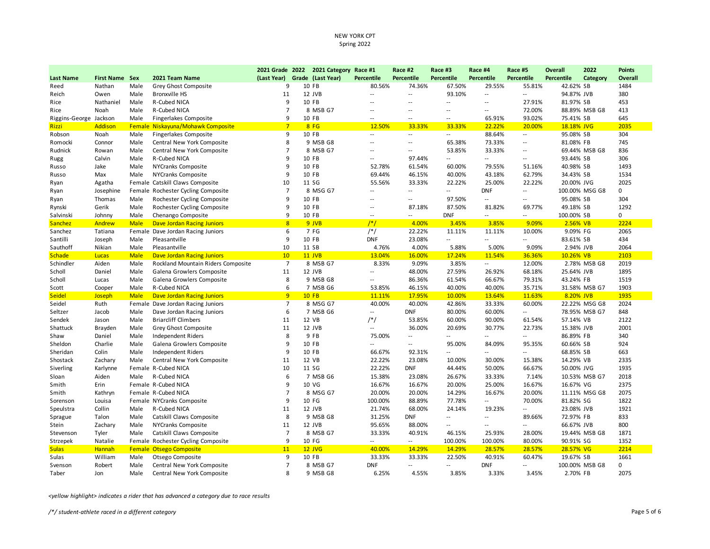|                        |                       |             |                                    | 2021 Grade 2022 | 2021 Category     | Race #1                  | Race #2                  | Race #3                  | Race #4                  | Race #5                  | <b>Overall</b>    | 2022           | <b>Points</b> |
|------------------------|-----------------------|-------------|------------------------------------|-----------------|-------------------|--------------------------|--------------------------|--------------------------|--------------------------|--------------------------|-------------------|----------------|---------------|
| <b>Last Name</b>       | <b>First Name Sex</b> |             | 2021 Team Name                     | (Last Year)     | Grade (Last Year) | <b>Percentile</b>        | <b>Percentile</b>        | <b>Percentile</b>        | <b>Percentile</b>        | Percentile               | <b>Percentile</b> | Category       | Overall       |
| Reed                   | Nathan                | Male        | Grey Ghost Composite               | 9               | 10 FB             | 80.56%                   | 74.36%                   | 67.50%                   | 29.55%                   | 55.81%                   | 42.62% SB         |                | 1484          |
| Reich                  | Owen                  | Male        | Bronxville HS                      | 11              | 12 JVB            | $\overline{\phantom{a}}$ | $\overline{\phantom{a}}$ | 93.10%                   | $\overline{\phantom{a}}$ | $\overline{\phantom{a}}$ | 94.87% JVB        |                | 380           |
| Rice                   | Nathaniel             | Male        | R-Cubed NICA                       | 9               | 10 FB             | $\sim$                   | $\sim$                   | $\ddot{\phantom{a}}$     | $\sim$                   | 27.91%                   | 81.97% SB         |                | 453           |
| Rice                   | Noah                  | Male        | R-Cubed NICA                       | $\overline{7}$  | 8 MSB G7          | $\sim$                   |                          | $\overline{a}$           | $\overline{a}$           | 72.00%                   |                   | 88.89% MSB G8  | 413           |
| Riggins-George Jackson |                       | Male        | <b>Fingerlakes Composite</b>       | 9               | 10 FB             | $\overline{\phantom{a}}$ | $\sim$                   | Ξ.                       | 65.91%                   | 93.02%                   | 75.41% SB         |                | 645           |
| Rizzi                  | Addison               |             | Female Niskayuna/Mohawk Composite  | $\overline{7}$  | 8FG               | 12.50%                   | 33.33%                   | 33.33%                   | 22.22%                   | 20.00%                   | 18.18% JVG        |                | 2035          |
| Robson                 | Noah                  | Male        | <b>Fingerlakes Composite</b>       | 9               | 10 FB             | $\overline{\phantom{a}}$ | $\overline{\phantom{a}}$ | $\overline{\phantom{a}}$ | 88.64%                   | $\sim$                   | 95.08% SB         |                | 304           |
| Romocki                | Connor                | Male        | Central New York Composite         | 8               | 9 MSB G8          | $\sim$                   | $\sim$                   | 65.38%                   | 73.33%                   | $\overline{\phantom{a}}$ | 81.08% FB         |                | 745           |
| Rudnick                | Rowan                 | Male        | Central New York Composite         | $\overline{7}$  | 8 MSB G7          | $\sim$                   | $\overline{a}$           | 53.85%                   | 33.33%                   | $\overline{\phantom{a}}$ |                   | 69.44% MSB G8  | 836           |
| Rugg                   | Calvin                | Male        | R-Cubed NICA                       | 9               | 10 FB             | $\overline{\phantom{a}}$ | 97.44%                   | $\overline{a}$           | $\overline{\phantom{a}}$ | $\overline{\phantom{a}}$ | 93.44% SB         |                | 306           |
| Russo                  | Jake                  | Male        | NYCranks Composite                 | 9               | 10 FB             | 52.78%                   | 61.54%                   | 60.00%                   | 79.55%                   | 51.16%                   | 40.98% SB         |                | 1493          |
| Russo                  | Max                   | Male        | NYCranks Composite                 | 9               | 10 FB             | 69.44%                   | 46.15%                   | 40.00%                   | 43.18%                   | 62.79%                   | 34.43% SB         |                | 1534          |
| Ryan                   | Agatha                |             | Female Catskill Claws Composite    | 10              | 11 SG             | 55.56%                   | 33.33%                   | 22.22%                   | 25.00%                   | 22.22%                   | 20.00% JVG        |                | 2025          |
| Ryan                   | Josephine             |             | Female Rochester Cycling Composite | $\overline{7}$  | 8 MSG G7          | $\overline{\phantom{a}}$ | $\overline{\phantom{a}}$ | $\overline{\phantom{a}}$ | <b>DNF</b>               | --                       |                   | 100.00% MSG G8 | 0             |
| Ryan                   | Thomas                | Male        | Rochester Cycling Composite        | 9               | 10 FB             | $\sim$                   | $\overline{a}$           | 97.50%                   | --                       | --                       | 95.08% SB         |                | 304           |
| Rynski                 | Gerik                 | Male        | Rochester Cycling Composite        | 9               | 10 FB             | $\sim$                   | 87.18%                   | 87.50%                   | 81.82%                   | 69.77%                   | 49.18% SB         |                | 1292          |
| Salvinski              | Johnny                | Male        | Chenango Composite                 | 9               | 10 FB             | $\overline{\phantom{a}}$ | $-1$                     | <b>DNF</b>               | $-$                      | --                       | 100.00% SB        |                | 0             |
| Sanchez                | Andrew                | <b>Male</b> | <b>Dave Jordan Racing Juniors</b>  | 8               | 9 JVB             | $/*/$                    | 4.00%                    | 3.45%                    | 3.85%                    | 9.09%                    | 2.56% VB          |                | 2224          |
| Sanchez                | Tatiana               |             | Female Dave Jordan Racing Juniors  | 6               | 7 FG              | $/*/$                    | 22.22%                   | 11.11%                   | 11.11%                   | 10.00%                   | 9.09% FG          |                | 2065          |
| Santilli               | Joseph                | Male        | Pleasantville                      | 9               | 10 FB             | <b>DNF</b>               | 23.08%                   | --                       | $\overline{a}$           | Ξ.                       | 83.61% SB         |                | 434           |
| Sauthoff               | Nikian                | Male        | Pleasantville                      | 10              | 11 SB             | 4.76%                    | 4.00%                    | 5.88%                    | 5.00%                    | 9.09%                    | 2.94% JVB         |                | 2064          |
| <b>Schade</b>          | Lucas                 | <b>Male</b> | Dave Jordan Racing Juniors         | 10              | 11 JVB            | 13.04%                   | 16.00%                   | 17.24%                   | 11.54%                   | 36.36%                   | 10.26% VB         |                | 2103          |
| Schindler              | Aiden                 | Male        | Rockland Mountain Riders Composite | $\overline{7}$  | 8 MSB G7          | 8.33%                    | 9.09%                    | 3.85%                    | $\overline{a}$           | 12.00%                   |                   | 2.78% MSB G8   | 2019          |
| Scholl                 | Daniel                | Male        | Galena Growlers Composite          | 11              | 12 JVB            | $\overline{\phantom{a}}$ | 48.00%                   | 27.59%                   | 26.92%                   | 68.18%                   | 25.64% JVB        |                | 1895          |
| Scholl                 | Lucas                 | Male        | Galena Growlers Composite          | 8               | 9 MSB G8          | $\overline{\phantom{a}}$ | 86.36%                   | 61.54%                   | 66.67%                   | 79.31%                   | 43.24% FB         |                | 1519          |
| Scott                  | Cooper                | Male        | R-Cubed NICA                       | 6               | 7 MSB G6          | 53.85%                   | 46.15%                   | 40.00%                   | 40.00%                   | 35.71%                   |                   | 31.58% MSB G7  | 1903          |
| <b>Seidel</b>          | Joseph                | <b>Male</b> | Dave Jordan Racing Juniors         | 9               | <b>10 FB</b>      | 11.11%                   | 17.95%                   | 10.00%                   | 13.64%                   | 11.63%                   | 8.20% JVB         |                | 1935          |
| Seidel                 | Ruth                  |             | Female Dave Jordan Racing Juniors  | $\overline{7}$  | 8 MSG G7          | 40.00%                   | 40.00%                   | 42.86%                   | 33.33%                   | 60.00%                   |                   | 22.22% MSG G8  | 2024          |
| Seltzer                | Jacob                 | Male        | Dave Jordan Racing Juniors         | 6               | 7 MSB G6          | $\overline{\phantom{a}}$ | <b>DNF</b>               | 80.00%                   | 60.00%                   | Щ.                       |                   | 78.95% MSB G7  | 848           |
| Sendek                 | Jason                 | Male        | <b>Briarcliff Climbers</b>         | 11              | 12 VB             | $/*/$                    | 53.85%                   | 60.00%                   | 90.00%                   | 61.54%                   | 57.14% VB         |                | 2122          |
| Shattuck               | Brayden               | Male        | Grey Ghost Composite               | 11              | 12 JVB            | $\overline{a}$           | 36.00%                   | 20.69%                   | 30.77%                   | 22.73%                   | 15.38% JVB        |                | 2001          |
| Shaw                   | Daniel                | Male        | Independent Riders                 | 8               | 9 FB              | 75.00%                   | $\overline{\phantom{a}}$ | Ξ.                       | $\overline{\phantom{a}}$ | $\overline{\phantom{a}}$ | 86.89% FB         |                | 340           |
| Sheldon                | Charlie               | Male        | Galena Growlers Composite          | 9               | 10 FB             | $\overline{\phantom{a}}$ | $\sim$ $\sim$            | 95.00%                   | 84.09%                   | 95.35%                   | 60.66% SB         |                | 924           |
| Sheridan               | Colin                 | Male        | Independent Riders                 | 9               | 10 FB             | 66.67%                   | 92.31%                   | $\overline{a}$           | $\sim$                   | $\overline{a}$           | 68.85% SB         |                | 663           |
| Shostack               | Zachary               | Male        | Central New York Composite         | 11              | 12 VB             | 22.22%                   | 23.08%                   | 10.00%                   | 30.00%                   | 15.38%                   | 14.29% VB         |                | 2335          |
| Siverling              | Karlynne              |             | Female R-Cubed NICA                | 10              | 11 SG             | 22.22%                   | <b>DNF</b>               | 44.44%                   | 50.00%                   | 66.67%                   | 50.00% JVG        |                | 1935          |
| Sloan                  | Aiden                 | Male        | R-Cubed NICA                       | 6               | 7 MSB G6          | 15.38%                   | 23.08%                   | 26.67%                   | 33.33%                   | 7.14%                    |                   | 10.53% MSB G7  | 2018          |
| Smith                  | Erin                  |             | Female R-Cubed NICA                | 9               | 10 VG             | 16.67%                   | 16.67%                   | 20.00%                   | 25.00%                   | 16.67%                   | 16.67% VG         |                | 2375          |
| Smith                  | Kathryn               |             | Female R-Cubed NICA                | $\overline{7}$  | 8 MSG G7          | 20.00%                   | 20.00%                   | 14.29%                   | 16.67%                   | 20.00%                   |                   | 11.11% MSG G8  | 2075          |
| Sorenson               | Louisa                |             | Female NYCranks Composite          | 9               | 10 FG             | 100.00%                  | 88.89%                   | 77.78%                   | $\overline{\phantom{a}}$ | 70.00%                   | 81.82% SG         |                | 1822          |
| Speulstra              | Collin                | Male        | R-Cubed NICA                       | 11              | 12 JVB            | 21.74%                   | 68.00%                   | 24.14%                   | 19.23%                   |                          | 23.08% JVB        |                | 1921          |
| Sprague                | Talon                 | Male        | Catskill Claws Composite           | 8               | 9 MSB G8          | 31.25%                   | <b>DNF</b>               | $\overline{a}$           | $\overline{a}$           | 89.66%                   | 72.97% FB         |                | 833           |
| Stein                  | Zachary               | Male        | NYCranks Composite                 | 11              | 12 JVB            | 95.65%                   | 88.00%                   | $\overline{\phantom{a}}$ | $\sim$ $\sim$            | $\overline{\phantom{a}}$ | 66.67% JVB        |                | 800           |
| Stevenson              | Tyler                 | Male        | Catskill Claws Composite           | $\overline{7}$  | 8 MSB G7          | 33.33%                   | 40.91%                   | 46.15%                   | 25.93%                   | 28.00%                   |                   | 19.44% MSB G8  | 1871          |
| Strzepek               | Natalie               |             | Female Rochester Cycling Composite | 9               | 10 FG             | $\overline{\phantom{a}}$ | $\sim$ $-$               | 100.00%                  | 100.00%                  | 80.00%                   | 90.91% SG         |                | 1352          |
| <b>Sulas</b>           | Hannah                |             | <b>Female Otsego Composite</b>     | 11              | $12$ JVG          | 40.00%                   | 14.29%                   | 14.29%                   | 28.57%                   | 28.57%                   | 28.57% VG         |                | 2214          |
| Sulas                  | William               | Male        | Otsego Composite                   | 9               | 10 FB             | 33.33%                   | 33.33%                   | 22.50%                   | 40.91%                   | 60.47%                   | 19.67% SB         |                | 1661          |
| Svenson                | Robert                | Male        | Central New York Composite         | $\overline{7}$  | 8 MSB G7          | <b>DNF</b>               | $\overline{a}$           | $\overline{\phantom{a}}$ | <b>DNF</b>               | Ξ.                       |                   | 100.00% MSB G8 | 0             |
| Taber                  | Jon                   | Male        | Central New York Composite         | 8               | 9 MSB G8          | 6.25%                    | 4.55%                    | 3.85%                    | 3.33%                    | 3.45%                    | 2.70% FB          |                | 2075          |
|                        |                       |             |                                    |                 |                   |                          |                          |                          |                          |                          |                   |                |               |